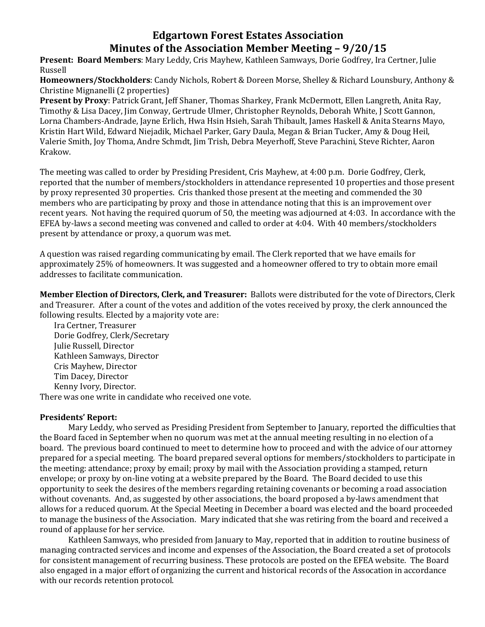## **Edgartown Forest Estates Association Minutes of the Association Member Meeting – 9/20/15**

**Present: Board Members**: Mary Leddy, Cris Mayhew, Kathleen Samways, Dorie Godfrey, Ira Certner, Julie Russell

**Homeowners/Stockholders**: Candy Nichols, Robert & Doreen Morse, Shelley & Richard Lounsbury, Anthony & Christine Mignanelli (2 properties)

**Present by Proxy**: Patrick Grant, Jeff Shaner, Thomas Sharkey, Frank McDermott, Ellen Langreth, Anita Ray, Timothy & Lisa Dacey, Jim Conway, Gertrude Ulmer, Christopher Reynolds, Deborah White, J Scott Gannon, Lorna Chambers-Andrade, Jayne Erlich, Hwa Hsin Hsieh, Sarah Thibault, James Haskell & Anita Stearns Mayo, Kristin Hart Wild, Edward Niejadik, Michael Parker, Gary Daula, Megan & Brian Tucker, Amy & Doug Heil, Valerie Smith, Joy Thoma, Andre Schmdt, Jim Trish, Debra Meyerhoff, Steve Parachini, Steve Richter, Aaron Krakow.

The meeting was called to order by Presiding President, Cris Mayhew, at 4:00 p.m. Dorie Godfrey, Clerk, reported that the number of members/stockholders in attendance represented 10 properties and those present by proxy represented 30 properties. Cris thanked those present at the meeting and commended the 30 members who are participating by proxy and those in attendance noting that this is an improvement over recent years. Not having the required quorum of 50, the meeting was adjourned at 4:03. In accordance with the EFEA by-laws a second meeting was convened and called to order at 4:04. With 40 members/stockholders present by attendance or proxy, a quorum was met.

A question was raised regarding communicating by email. The Clerk reported that we have emails for approximately 25% of homeowners. It was suggested and a homeowner offered to try to obtain more email addresses to facilitate communication.

**Member Election of Directors, Clerk, and Treasurer:** Ballots were distributed for the vote of Directors, Clerk and Treasurer. After a count of the votes and addition of the votes received by proxy, the clerk announced the following results. Elected by a majority vote are:

Ira Certner, Treasurer Dorie Godfrey, Clerk/Secretary Julie Russell, Director Kathleen Samways, Director Cris Mayhew, Director Tim Dacey, Director Kenny Ivory, Director. There was one write in candidate who received one vote.

## **Presidents' Report:**

Mary Leddy, who served as Presiding President from September to January, reported the difficulties that the Board faced in September when no quorum was met at the annual meeting resulting in no election of a board. The previous board continued to meet to determine how to proceed and with the advice of our attorney prepared for a special meeting. The board prepared several options for members/stockholders to participate in the meeting: attendance; proxy by email; proxy by mail with the Association providing a stamped, return envelope; or proxy by on-line voting at a website prepared by the Board. The Board decided to use this opportunity to seek the desires of the members regarding retaining covenants or becoming a road association without covenants. And, as suggested by other associations, the board proposed a by-laws amendment that allows for a reduced quorum. At the Special Meeting in December a board was elected and the board proceeded to manage the business of the Association. Mary indicated that she was retiring from the board and received a round of applause for her service.

Kathleen Samways, who presided from January to May, reported that in addition to routine business of managing contracted services and income and expenses of the Association, the Board created a set of protocols for consistent management of recurring business. These protocols are posted on the EFEA website. The Board also engaged in a major effort of organizing the current and historical records of the Assocation in accordance with our records retention protocol.